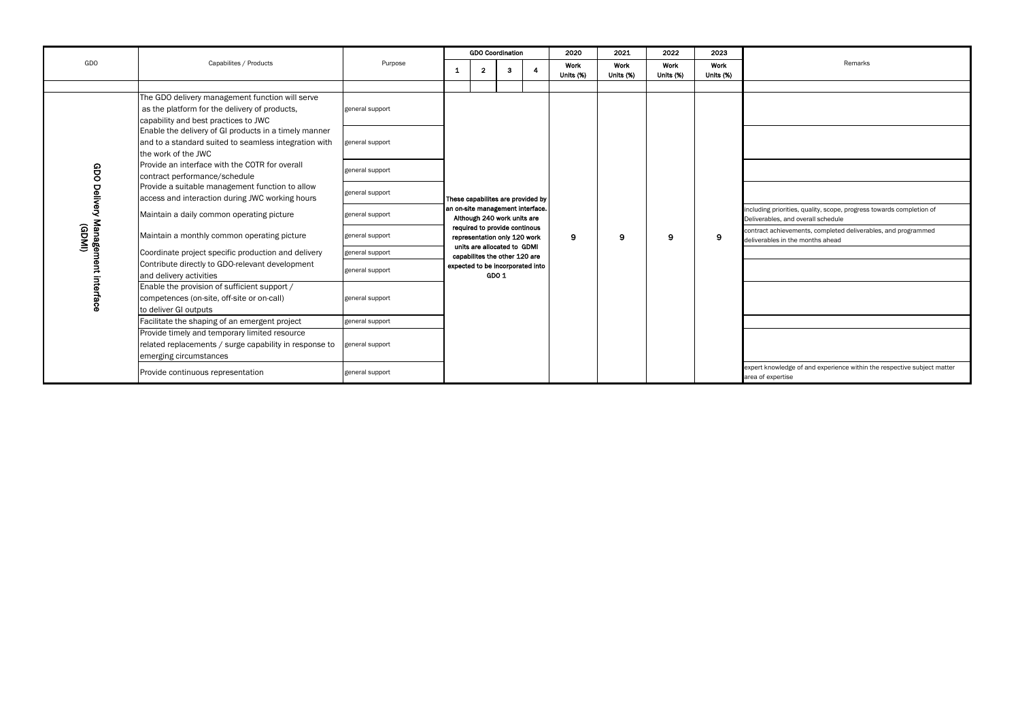|                                                      |                                                                                                                                          |                 |                                                                                                                                  | <b>GDO Coordination</b>                                      |  |   | 2020              | 2021              |                   | 2023                                                                                 | Remarks                                                        |  |
|------------------------------------------------------|------------------------------------------------------------------------------------------------------------------------------------------|-----------------|----------------------------------------------------------------------------------------------------------------------------------|--------------------------------------------------------------|--|---|-------------------|-------------------|-------------------|--------------------------------------------------------------------------------------|----------------------------------------------------------------|--|
| GDO                                                  | Capabilites / Products                                                                                                                   | Purpose         | 3<br>$\mathbf{2}$<br>-1                                                                                                          |                                                              |  | 4 | Work<br>Units (%) | Work<br>Units (%) | Work<br>Units (%) | Work<br>Units (%)                                                                    |                                                                |  |
|                                                      |                                                                                                                                          |                 |                                                                                                                                  |                                                              |  |   |                   |                   |                   |                                                                                      |                                                                |  |
|                                                      | The GDO delivery management function will serve<br>as the platform for the delivery of products,<br>capability and best practices to JWC | general support |                                                                                                                                  |                                                              |  |   |                   |                   |                   |                                                                                      |                                                                |  |
|                                                      | Enable the delivery of GI products in a timely manner<br>and to a standard suited to seamless integration with<br>the work of the JWC    | general support |                                                                                                                                  |                                                              |  |   |                   |                   |                   |                                                                                      |                                                                |  |
| GDO                                                  | Provide an interface with the COTR for overall<br>contract performance/schedule                                                          | general support |                                                                                                                                  |                                                              |  |   |                   |                   |                   |                                                                                      |                                                                |  |
|                                                      | Provide a suitable management function to allow<br>access and interaction during JWC working hours                                       | general support | These capabilites are provided by                                                                                                |                                                              |  |   |                   | 9                 | 9                 |                                                                                      |                                                                |  |
|                                                      | Maintain a daily common operating picture                                                                                                | general support | an on-site management interface.<br>Although 240 work units are<br>required to provide continous<br>representation only 120 work |                                                              |  |   |                   |                   |                   | including priorities, quality, scope, progress<br>Deliverables, and overall schedule |                                                                |  |
|                                                      | Maintain a monthly common operating picture                                                                                              | general support |                                                                                                                                  |                                                              |  | 9 | 9                 |                   |                   | contract achievements, completed delivera<br>deliverables in the months ahead        |                                                                |  |
|                                                      | Coordinate project specific production and delivery                                                                                      | general support |                                                                                                                                  | units are allocated to GDMI<br>capabilites the other 120 are |  |   |                   |                   |                   |                                                                                      |                                                                |  |
|                                                      | Contribute directly to GDO-relevant development<br>and delivery activities                                                               | general support |                                                                                                                                  | expected to be incorporated into<br>GDO 1                    |  |   |                   |                   |                   |                                                                                      |                                                                |  |
| Delivery Management interface<br>(GDMI)              | Enable the provision of sufficient support /<br>competences (on-site, off-site or on-call)<br>to deliver GI outputs                      | general support |                                                                                                                                  |                                                              |  |   |                   |                   |                   |                                                                                      |                                                                |  |
|                                                      | Facilitate the shaping of an emergent project                                                                                            | general support |                                                                                                                                  |                                                              |  |   |                   |                   |                   |                                                                                      |                                                                |  |
|                                                      | Provide timely and temporary limited resource<br>related replacements / surge capability in response to<br>emerging circumstances        | general support |                                                                                                                                  |                                                              |  |   |                   |                   |                   |                                                                                      |                                                                |  |
| Provide continuous representation<br>general support |                                                                                                                                          |                 |                                                                                                                                  |                                                              |  |   |                   |                   |                   |                                                                                      | expert knowledge of and experience within<br>area of expertise |  |

| Remarks                                                                                                    |
|------------------------------------------------------------------------------------------------------------|
|                                                                                                            |
|                                                                                                            |
|                                                                                                            |
|                                                                                                            |
|                                                                                                            |
| including priorities, quality, scope, progress towards completion of<br>Deliverables, and overall schedule |
| contract achievements, completed deliverables, and programmed<br>deliverables in the months ahead          |
|                                                                                                            |
|                                                                                                            |
|                                                                                                            |
|                                                                                                            |
|                                                                                                            |
| expert knowledge of and experience within the respective subject matter<br>area of expertise               |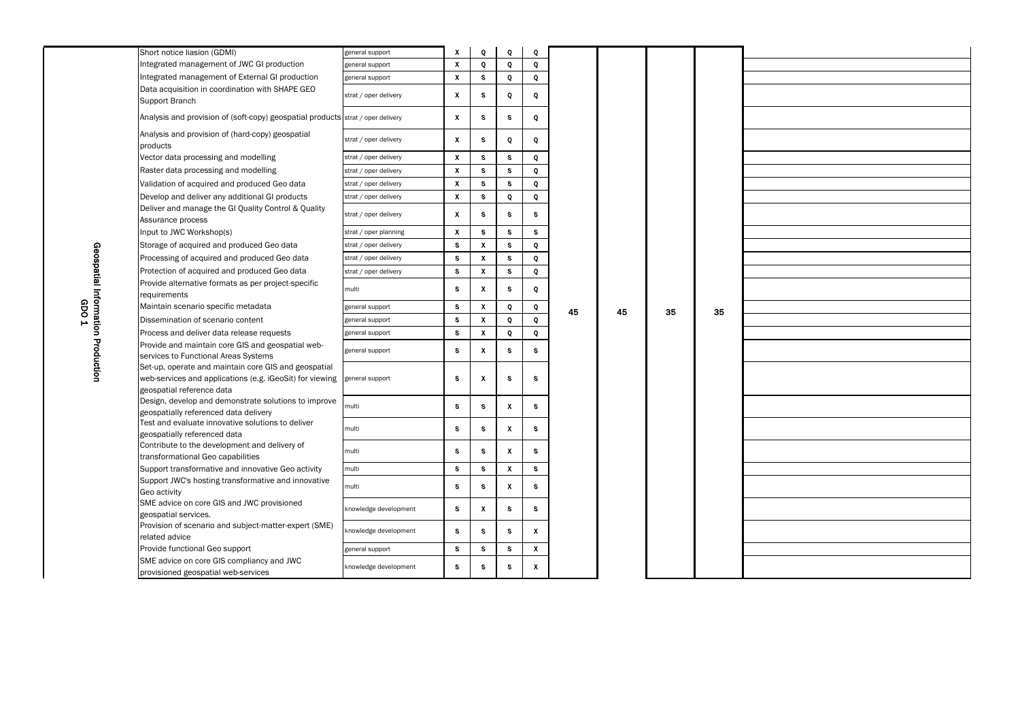|                                   | Short notice liasion (GDMI)                                                     | general support       | X                         | Q                         | Q            | Q            |    |    |    |    |  |
|-----------------------------------|---------------------------------------------------------------------------------|-----------------------|---------------------------|---------------------------|--------------|--------------|----|----|----|----|--|
|                                   | Integrated management of JWC GI production                                      | general support       | $\boldsymbol{\chi}$       | Q                         | Q            | Q            |    |    |    |    |  |
|                                   | Integrated management of External GI production                                 | general support       | $\mathbf{x}$              | S                         | Q            | Q            |    |    |    |    |  |
|                                   | Data acquisition in coordination with SHAPE GEO                                 |                       |                           |                           |              |              |    |    |    |    |  |
|                                   | Support Branch                                                                  | strat / oper delivery | $\mathbf{x}$              | S                         | Q            | Q            |    |    |    |    |  |
|                                   | Analysis and provision of (soft-copy) geospatial products strat / oper delivery |                       | $\boldsymbol{\chi}$       | S                         | s            | Q            |    |    |    |    |  |
|                                   |                                                                                 |                       |                           |                           |              |              |    |    |    |    |  |
|                                   | Analysis and provision of (hard-copy) geospatial                                | strat / oper delivery | $\mathbf{x}$              | S                         | Q            | Q            |    |    |    |    |  |
|                                   | products                                                                        |                       |                           |                           |              |              |    |    |    |    |  |
|                                   | Vector data processing and modelling                                            | strat / oper delivery | $\boldsymbol{\mathsf{X}}$ | S.                        | S            | Q            |    |    |    |    |  |
|                                   | Raster data processing and modelling                                            | strat / oper delivery | $\boldsymbol{\mathsf{X}}$ | S.                        | S.           | Q            |    |    |    |    |  |
|                                   | Validation of acquired and produced Geo data                                    | strat / oper delivery | $\mathbf{x}$              | S.                        | S            | Q            |    |    |    |    |  |
|                                   | Develop and deliver any additional GI products                                  | strat / oper delivery | $\boldsymbol{\mathsf{X}}$ | S                         | Q            | Q            |    |    |    |    |  |
|                                   | Deliver and manage the GI Quality Control & Quality<br>Assurance process        | strat / oper delivery | $\mathbf{x}$              | S                         | S            | S            |    |    |    |    |  |
|                                   | Input to JWC Workshop(s)                                                        | strat / oper planning | $\boldsymbol{\mathsf{X}}$ | S                         | S.           | S            |    |    |    |    |  |
|                                   | Storage of acquired and produced Geo data                                       | strat / oper delivery | S                         | $\mathsf{X}$              | s            | Q            |    |    |    |    |  |
| Geospatial Information Production | Processing of acquired and produced Geo data                                    | strat / oper delivery | $\mathbf{s}$              | $\mathbf{x}$              | S.           | Q            |    |    |    |    |  |
|                                   | Protection of acquired and produced Geo data                                    | strat / oper delivery | S.                        | $\mathsf{X}$              | S.           | Q            |    |    |    |    |  |
|                                   | Provide alternative formats as per project-specific                             |                       |                           |                           |              |              |    |    |    |    |  |
|                                   | requirements                                                                    | multi                 | S.                        | X                         | S            | Q            |    |    |    |    |  |
|                                   | Maintain scenario specific metadata                                             | general support       | <b>S</b>                  | $\mathbf X$               | Q            | Q            |    |    |    |    |  |
| GDO <sub>1</sub>                  | Dissemination of scenario content                                               | general support       | $\mathbf{s}$              | $\mathsf{X}$              | Q            | $\bf Q$      | 45 | 45 | 35 | 35 |  |
|                                   | Process and deliver data release requests                                       | general support       | S.                        | X.                        | Q            | Q            |    |    |    |    |  |
|                                   | Provide and maintain core GIS and geospatial web-                               |                       |                           |                           |              |              |    |    |    |    |  |
|                                   | services to Functional Areas Systems                                            | general support       | S                         | X.                        | s            | S.           |    |    |    |    |  |
|                                   | Set-up, operate and maintain core GIS and geospatial                            |                       |                           |                           |              |              |    |    |    |    |  |
|                                   | web-services and applications (e.g. iGeoSit) for viewing                        | general support       | S                         | $\boldsymbol{\mathsf{x}}$ | S            | S            |    |    |    |    |  |
|                                   | geospatial reference data                                                       |                       |                           |                           |              |              |    |    |    |    |  |
|                                   | Design, develop and demonstrate solutions to improve                            | multi                 | S.                        | S                         | X            | S            |    |    |    |    |  |
|                                   | geospatially referenced data delivery                                           |                       |                           |                           |              |              |    |    |    |    |  |
|                                   | Test and evaluate innovative solutions to deliver                               | multi                 | S                         | S.                        | X            | S            |    |    |    |    |  |
|                                   | geospatially referenced data<br>Contribute to the development and delivery of   |                       |                           |                           |              |              |    |    |    |    |  |
|                                   | transformational Geo capabilities                                               | multi                 | S                         | S.                        | $\mathbf{x}$ | S.           |    |    |    |    |  |
|                                   | Support transformative and innovative Geo activity                              | multi                 | S.                        | S                         | X.           | S.           |    |    |    |    |  |
|                                   | Support JWC's hosting transformative and innovative                             |                       |                           |                           |              |              |    |    |    |    |  |
|                                   | Geo activity                                                                    | multi                 | S                         | S.                        | $\mathbf{x}$ | S.           |    |    |    |    |  |
|                                   | SME advice on core GIS and JWC provisioned                                      |                       |                           |                           |              |              |    |    |    |    |  |
|                                   | geospatial services.                                                            | knowledge development | S.                        | X.                        | S.           | S.           |    |    |    |    |  |
|                                   | Provision of scenario and subject-matter-expert (SME)                           | knowledge development | S.                        | S.                        | S.           | $\mathbf{x}$ |    |    |    |    |  |
|                                   | related advice                                                                  |                       |                           |                           |              |              |    |    |    |    |  |
|                                   | Provide functional Geo support                                                  | general support       | S.                        | S.                        | S.           | $\mathbf{x}$ |    |    |    |    |  |
|                                   | SME advice on core GIS compliancy and JWC                                       | knowledge development | S                         | S                         | S            | X.           |    |    |    |    |  |
|                                   | provisioned geospatial web-services                                             |                       |                           |                           |              |              |    |    |    |    |  |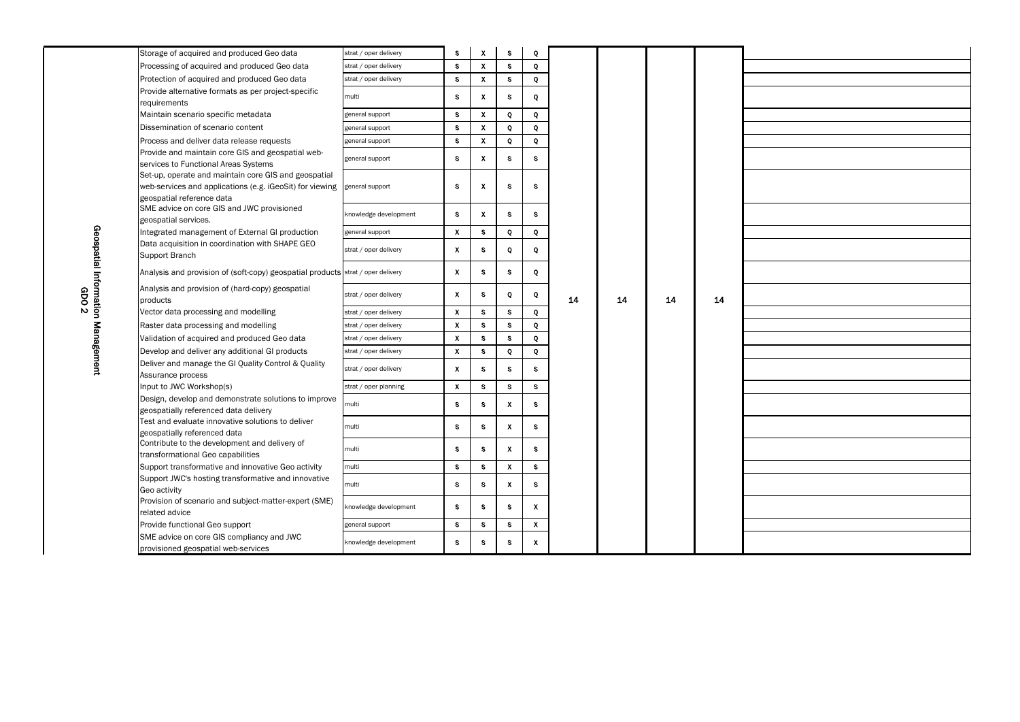|                                   | Storage of acquired and produced Geo data                                                                                                     | strat / oper delivery | s                         | $\boldsymbol{X}$          | S            | Q            |    |    |    |    |  |
|-----------------------------------|-----------------------------------------------------------------------------------------------------------------------------------------------|-----------------------|---------------------------|---------------------------|--------------|--------------|----|----|----|----|--|
|                                   | Processing of acquired and produced Geo data                                                                                                  | strat / oper delivery | S                         | $\boldsymbol{\mathsf{x}}$ | S            | Q            |    |    |    |    |  |
|                                   | Protection of acquired and produced Geo data                                                                                                  | strat / oper delivery | S                         | $\boldsymbol{\mathsf{X}}$ | S            | Q            |    |    |    |    |  |
|                                   | Provide alternative formats as per project-specific<br>requirements                                                                           | multi                 | S                         | $\boldsymbol{\mathsf{x}}$ | S            | Q            |    |    |    |    |  |
|                                   | Maintain scenario specific metadata                                                                                                           | general support       | $\mathbf{s}$              | $\boldsymbol{\mathsf{X}}$ | Q            | $\mathbf{Q}$ |    |    |    |    |  |
|                                   | Dissemination of scenario content                                                                                                             | general support       | S                         | $\mathbf{x}$              | Q            | Q            |    |    |    |    |  |
|                                   | Process and deliver data release requests                                                                                                     | general support       | S                         | $\boldsymbol{\mathsf{X}}$ | Q            | $\mathbf{Q}$ |    |    |    |    |  |
|                                   | Provide and maintain core GIS and geospatial web-<br>services to Functional Areas Systems                                                     | general support       | S                         | $\boldsymbol{\mathsf{x}}$ | S            | S            |    |    |    |    |  |
|                                   | Set-up, operate and maintain core GIS and geospatial<br>web-services and applications (e.g. iGeoSit) for viewing<br>geospatial reference data | general support       | S                         | $\boldsymbol{\mathsf{X}}$ | S            | $\mathbf s$  |    |    |    |    |  |
|                                   | SME advice on core GIS and JWC provisioned<br>geospatial services.                                                                            | knowledge development | S                         | $\boldsymbol{\mathsf{x}}$ | S            | S            |    |    |    |    |  |
|                                   | Integrated management of External GI production                                                                                               | general support       | X                         | S                         | Q            | $\mathbf{Q}$ |    |    |    |    |  |
| Geospatial Information Management | Data acquisition in coordination with SHAPE GEO<br>Support Branch                                                                             | strat / oper delivery | X                         | S                         | Q            | Q            |    |    |    |    |  |
|                                   | Analysis and provision of (soft-copy) geospatial products strat / oper delivery                                                               |                       | X                         | S                         | S            | Q            |    |    |    |    |  |
| GDO 2                             | Analysis and provision of (hard-copy) geospatial<br>products                                                                                  | strat / oper delivery | X                         | S                         | Q            | Q            | 14 | 14 | 14 | 14 |  |
|                                   | Vector data processing and modelling                                                                                                          | strat / oper delivery | X                         | S                         | S            | Q            |    |    |    |    |  |
|                                   | Raster data processing and modelling                                                                                                          | strat / oper delivery | X                         | <b>S</b>                  | s            | $\mathbf{Q}$ |    |    |    |    |  |
|                                   | Validation of acquired and produced Geo data                                                                                                  | strat / oper delivery | $\boldsymbol{\mathsf{x}}$ | $\mathbf{s}$              | s            | Q            |    |    |    |    |  |
|                                   | Develop and deliver any additional GI products                                                                                                | strat / oper delivery | $\boldsymbol{\mathsf{x}}$ | S                         | Q            | Q            |    |    |    |    |  |
|                                   | Deliver and manage the GI Quality Control & Quality<br>Assurance process                                                                      | strat / oper delivery | X                         | S.                        | S            | S            |    |    |    |    |  |
|                                   | Input to JWC Workshop(s)                                                                                                                      | strat / oper planning | X                         | S                         | S            | S            |    |    |    |    |  |
|                                   | Design, develop and demonstrate solutions to improve<br>geospatially referenced data delivery                                                 | multi                 | S                         | S                         | X            | S            |    |    |    |    |  |
|                                   | Test and evaluate innovative solutions to deliver<br>geospatially referenced data                                                             | multi                 | S                         | s                         | X            | S            |    |    |    |    |  |
|                                   | Contribute to the development and delivery of<br>transformational Geo capabilities                                                            | multi                 | S                         | S                         | $\mathsf{X}$ | S            |    |    |    |    |  |
|                                   | Support transformative and innovative Geo activity                                                                                            | multi                 | S                         | $\mathbf{s}$              | $\mathsf{X}$ | S            |    |    |    |    |  |
|                                   | Support JWC's hosting transformative and innovative<br>Geo activity                                                                           | multi                 | S                         | S.                        | X.           | S            |    |    |    |    |  |
|                                   | Provision of scenario and subject-matter-expert (SME)<br>related advice                                                                       | knowledge development | S                         | <b>S</b>                  | S            | $\mathbf{x}$ |    |    |    |    |  |
|                                   | Provide functional Geo support                                                                                                                | general support       | S.                        | S                         | S            | $\mathsf{X}$ |    |    |    |    |  |
|                                   | SME advice on core GIS compliancy and JWC<br>provisioned geospatial web-services                                                              | knowledge development | S                         | s                         | S            | X            |    |    |    |    |  |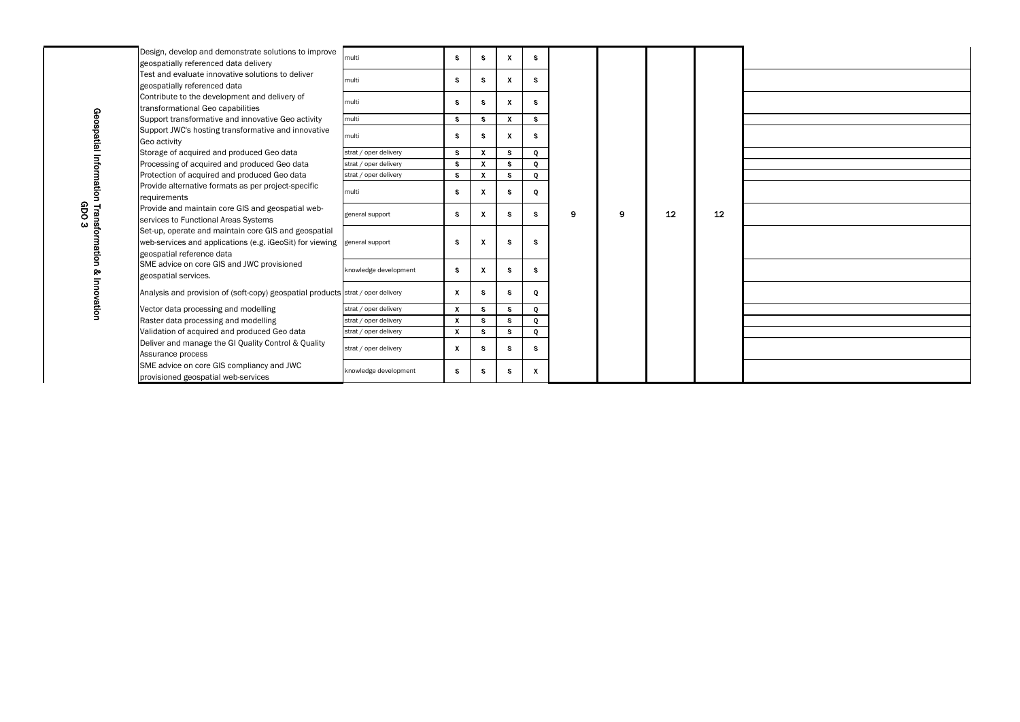|                        | Design, develop and demonstrate solutions to improve<br>geospatially referenced data delivery                                                 | multi                 | $\mathbf{s}$   | S.           | $\mathbf{x}$ | <b>S</b>     |   |   |    |    |  |
|------------------------|-----------------------------------------------------------------------------------------------------------------------------------------------|-----------------------|----------------|--------------|--------------|--------------|---|---|----|----|--|
|                        | Test and evaluate innovative solutions to deliver<br>geospatially referenced data                                                             | multi                 | S.             | S.           | $\mathbf{X}$ | S.           |   |   |    |    |  |
|                        | Contribute to the development and delivery of<br>transformational Geo capabilities                                                            | multi                 | S.             | S.           | $\mathbf{X}$ | $\mathbf{s}$ |   |   |    |    |  |
|                        | Support transformative and innovative Geo activity                                                                                            | multi                 | S.             | S.           | $\mathbf{x}$ | S.           |   |   |    |    |  |
| Geospatial             | Support JWC's hosting transformative and innovative<br>Geo activity                                                                           | multi                 | S.             | S.           | $\mathbf{x}$ | S.           |   |   |    |    |  |
|                        | Storage of acquired and produced Geo data                                                                                                     | strat / oper delivery | S.             | $\mathbf{X}$ | $\mathbf{s}$ | $\bf Q$      |   |   |    |    |  |
|                        | Processing of acquired and produced Geo data                                                                                                  | strat / oper delivery | S.             | $\mathsf{X}$ | $\mathbf{s}$ | $\mathbf{Q}$ |   |   |    |    |  |
|                        | Protection of acquired and produced Geo data                                                                                                  | strat / oper delivery | S              | $\mathsf{x}$ | $\mathbf{s}$ | Q            |   |   |    |    |  |
| lation                 | Provide alternative formats as per project-specific<br>requirements                                                                           | multi                 | S.             |              | S.           | Q            |   |   |    |    |  |
| GDO<br>Lra<br>$\omega$ | Provide and maintain core GIS and geospatial web-<br>services to Functional Areas Systems                                                     | general support       | S.             | $\mathsf{x}$ | S.           | $\mathbf{s}$ | 9 | 9 | 12 | 12 |  |
| Sfo<br><b>TION</b>     | Set-up, operate and maintain core GIS and geospatial<br>web-services and applications (e.g. iGeoSit) for viewing<br>geospatial reference data | general support       | S.             | X.           | <b>S</b>     | $\mathbf{s}$ |   |   |    |    |  |
|                        | SME advice on core GIS and JWC provisioned<br>geospatial services.                                                                            | knowledge development | S.             | X            | S.           | <b>S</b>     |   |   |    |    |  |
|                        | Analysis and provision of (soft-copy) geospatial products strat / oper delivery                                                               |                       | $\mathsf{X}$   | S.           | $\mathbf{s}$ | Q            |   |   |    |    |  |
|                        | Vector data processing and modelling                                                                                                          | strat / oper delivery | $\mathsf{X}^-$ | $\mathbf{s}$ | $\mathbf{s}$ | Q            |   |   |    |    |  |
|                        | Raster data processing and modelling                                                                                                          | strat / oper delivery | $\mathbf{x}$   | S.           | $\mathbf{s}$ | Q            |   |   |    |    |  |
|                        | Validation of acquired and produced Geo data                                                                                                  | strat / oper delivery | X.             | S.           | $\mathbf{s}$ | Q            |   |   |    |    |  |
|                        | Deliver and manage the GI Quality Control & Quality<br>Assurance process                                                                      | strat / oper delivery | $\mathbf{x}$   | S.           | S.           | <b>S</b>     |   |   |    |    |  |
|                        | SME advice on core GIS compliancy and JWC<br>provisioned geospatial web-services                                                              | knowledge development | S.             | S.           | S.           | $\mathbf{x}$ |   |   |    |    |  |